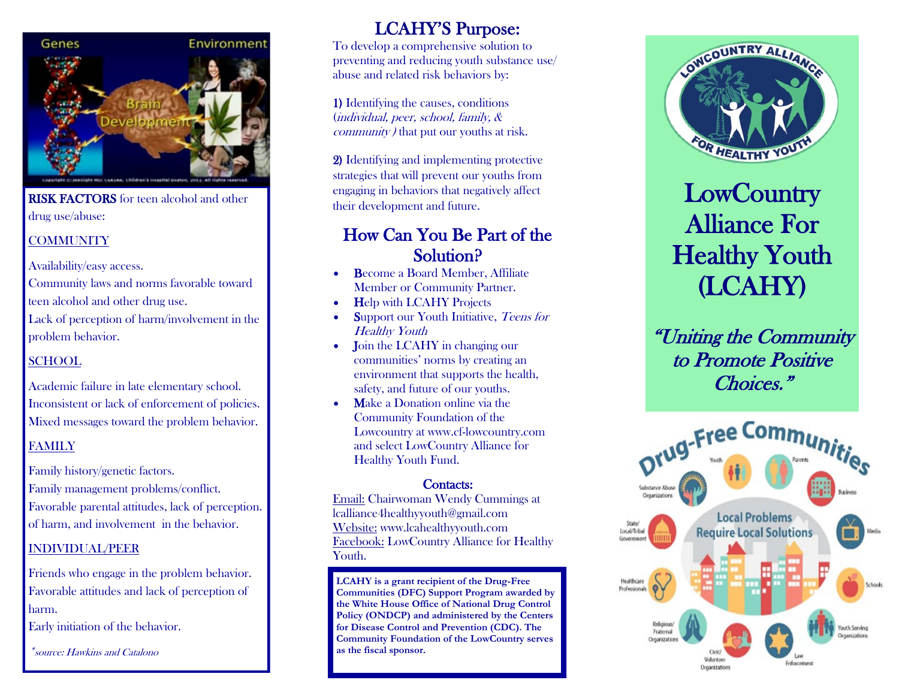

**RISK FACTORS** for teen alcohol and other drug use/abuse:

#### **COMMUNITY**

Availability/easy access.

Community laws and norms favorable toward

teen alcohol and other drug use.

Lack of perception of harm/involvement in the problem behavior.

#### SCHOOL

Academic failure in late elementary school. Inconsistent or lack of enforcement of policies. Mixed messages toward the problem behavior.

#### FAMILY

Family history/genetic factors. Family management problems/conflict. Favorable parental attitudes, lack of perception. of harm, and involvement in the behavior.

#### INDIVIDUAL/PEER

Friends who engage in the problem behavior. Favorable attitudes and lack of perception of harm.

Early initiation of the behavior.

\*source: Hawkins and Catalono

## LCAHY'S Purpose:

To develop a comprehensive solution to preventing and reducing youth substance use/ abuse and related risk behaviors by:

1) Identifying the causes, conditions (individual, peer, school, family, & community ) that put our youths at risk.

2) Identifying and implementing protective strategies that will prevent our youths from engaging in behaviors that negatively affect their development and future.

### How Can You Be Part of the Solution?

- Become a Board Member, Affiliate Member or Community Partner.
- **Help with LCAHY Projects**
- Support our Youth Initiative, Teens for Healthy Youth
- Join the LCAHY in changing our communities' norms by creating an environment that supports the health, safety, and future of our youths.
- **Make a Donation online via the** Community Foundation of the Lowcountry at www.cf-lowcountry.com and select LowCountry Alliance for Healthy Youth Fund.

#### Contacts:

Email: Chairwoman Wendy Cummings at lcalliance4healthyyouth@gmail.com Website: www.lcahealthyyouth.com Facebook: LowCountry Alliance for Healthy Youth.

**LCAHY is a grant recipient of the Drug-Free Communities (DFC) Support Program awarded by the White House Office of National Drug Control Policy (ONDCP) and administered by the Centers for Disease Control and Prevention (CDC). The Community Foundation of the LowCountry serves as the fiscal sponsor.** 



# **LowCountry** Alliance For Healthy Youth (LCAHY)

"Uniting the Community to Promote Positive Choices."